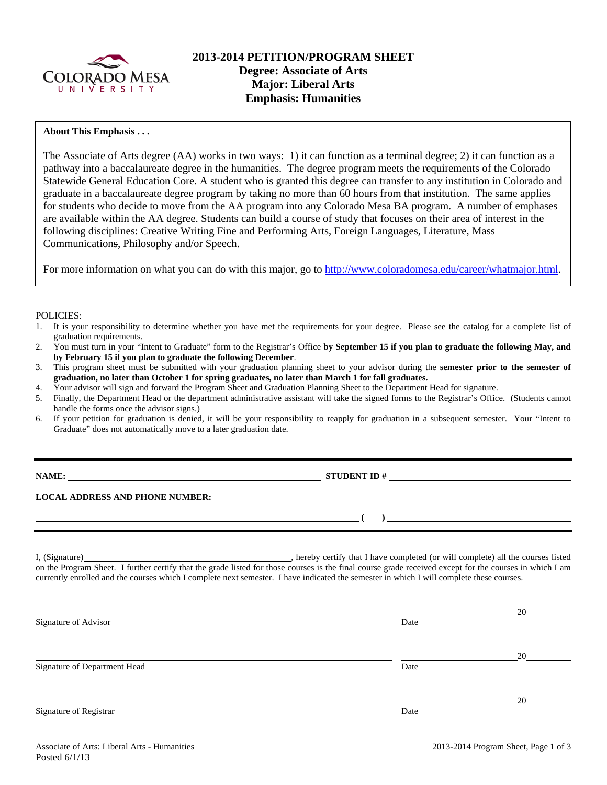

## **About This Emphasis . . .**

The Associate of Arts degree (AA) works in two ways: 1) it can function as a terminal degree; 2) it can function as a pathway into a baccalaureate degree in the humanities. The degree program meets the requirements of the Colorado Statewide General Education Core. A student who is granted this degree can transfer to any institution in Colorado and graduate in a baccalaureate degree program by taking no more than 60 hours from that institution. The same applies for students who decide to move from the AA program into any Colorado Mesa BA program. A number of emphases are available within the AA degree. Students can build a course of study that focuses on their area of interest in the following disciplines: Creative Writing Fine and Performing Arts, Foreign Languages, Literature, Mass Communications, Philosophy and/or Speech.

For more information on what you can do with this major, go to http://www.coloradomesa.edu/career/whatmajor.html.

#### POLICIES:

- 1. It is your responsibility to determine whether you have met the requirements for your degree. Please see the catalog for a complete list of graduation requirements.
- 2. You must turn in your "Intent to Graduate" form to the Registrar's Office **by September 15 if you plan to graduate the following May, and by February 15 if you plan to graduate the following December**.
- 3. This program sheet must be submitted with your graduation planning sheet to your advisor during the **semester prior to the semester of graduation, no later than October 1 for spring graduates, no later than March 1 for fall graduates.**
- 4. Your advisor will sign and forward the Program Sheet and Graduation Planning Sheet to the Department Head for signature.
- 5. Finally, the Department Head or the department administrative assistant will take the signed forms to the Registrar's Office. (Students cannot handle the forms once the advisor signs.)
- 6. If your petition for graduation is denied, it will be your responsibility to reapply for graduation in a subsequent semester. Your "Intent to Graduate" does not automatically move to a later graduation date.

**STUDENT ID #** 

 $($   $)$   $)$ 

**LOCAL ADDRESS AND PHONE NUMBER:**

I, (Signature) **Solution** , hereby certify that I have completed (or will complete) all the courses listed on the Program Sheet. I further certify that the grade listed for those courses is the final course grade received except for the courses in which I am currently enrolled and the courses which I complete next semester. I have indicated the semester in which I will complete these courses.

|                              |      | 20 |
|------------------------------|------|----|
| Signature of Advisor         | Date |    |
|                              |      |    |
|                              |      | 20 |
| Signature of Department Head | Date |    |
|                              |      |    |
|                              |      | 20 |
| Signature of Registrar       | Date |    |
|                              |      |    |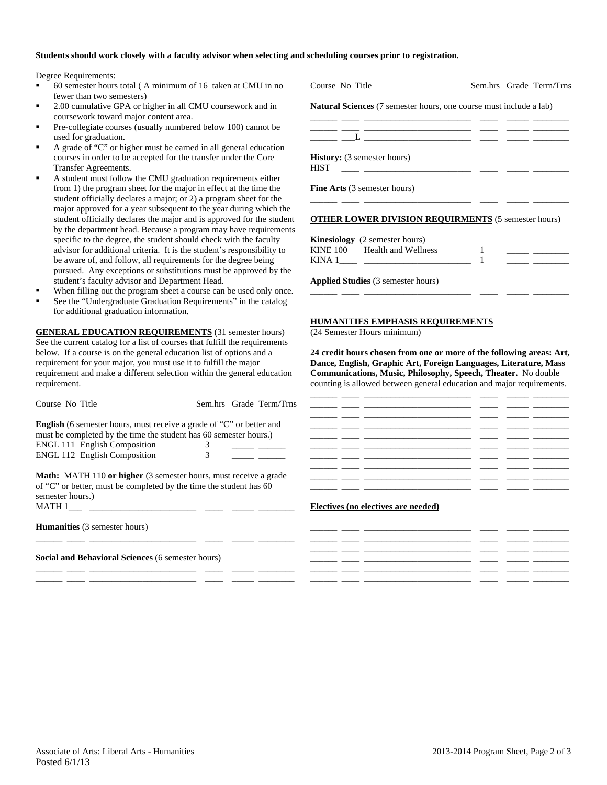#### **Students should work closely with a faculty advisor when selecting and scheduling courses prior to registration.**

Degree Requirements:

- 60 semester hours total ( A minimum of 16 taken at CMU in no fewer than two semesters)
- 2.00 cumulative GPA or higher in all CMU coursework and in coursework toward major content area.
- Pre-collegiate courses (usually numbered below 100) cannot be used for graduation.
- A grade of "C" or higher must be earned in all general education courses in order to be accepted for the transfer under the Core Transfer Agreements.
- A student must follow the CMU graduation requirements either from 1) the program sheet for the major in effect at the time the student officially declares a major; or 2) a program sheet for the major approved for a year subsequent to the year during which the student officially declares the major and is approved for the student by the department head. Because a program may have requirements specific to the degree, the student should check with the faculty advisor for additional criteria. It is the student's responsibility to be aware of, and follow, all requirements for the degree being pursued. Any exceptions or substitutions must be approved by the student's faculty advisor and Department Head.
- When filling out the program sheet a course can be used only once.
- See the "Undergraduate Graduation Requirements" in the catalog for additional graduation information.

**GENERAL EDUCATION REQUIREMENTS** (31 semester hours) See the current catalog for a list of courses that fulfill the requirements below. If a course is on the general education list of options and a requirement for your major, you must use it to fulfill the major requirement and make a different selection within the general education requirement.

| Course No Title                                                                                                                                                             |   | Sem.hrs Grade Term/Trns |
|-----------------------------------------------------------------------------------------------------------------------------------------------------------------------------|---|-------------------------|
| <b>English</b> (6 semester hours, must receive a grade of "C" or better and<br>must be completed by the time the student has 60 semester hours.)                            |   |                         |
| <b>ENGL 111 English Composition</b>                                                                                                                                         | 3 |                         |
| <b>ENGL 112 English Composition</b>                                                                                                                                         | 3 |                         |
| <b>Math:</b> MATH 110 or higher (3 semester hours, must receive a grade<br>of "C" or better, must be completed by the time the student has 60<br>semester hours.)<br>MATH 1 |   |                         |
| <b>Humanities</b> (3 semester hours)                                                                                                                                        |   |                         |

\_\_\_\_\_\_ \_\_\_\_ \_\_\_\_\_\_\_\_\_\_\_\_\_\_\_\_\_\_\_\_\_\_\_\_ \_\_\_\_ \_\_\_\_\_ \_\_\_\_\_\_\_\_

\_\_\_\_\_\_ \_\_\_\_ \_\_\_\_\_\_\_\_\_\_\_\_\_\_\_\_\_\_\_\_\_\_\_\_ \_\_\_\_ \_\_\_\_\_ \_\_\_\_\_\_\_\_ \_\_\_\_\_\_ \_\_\_\_ \_\_\_\_\_\_\_\_\_\_\_\_\_\_\_\_\_\_\_\_\_\_\_\_ \_\_\_\_ \_\_\_\_\_ \_\_\_\_\_\_\_\_

**Social and Behavioral Sciences** (6 semester hours)

| Course No Title                                                                                                                                                                                                                                                                                  |   | Sem.hrs Grade Term/Trns           |
|--------------------------------------------------------------------------------------------------------------------------------------------------------------------------------------------------------------------------------------------------------------------------------------------------|---|-----------------------------------|
| <b>Natural Sciences</b> (7 semester hours, one course must include a lab)                                                                                                                                                                                                                        |   |                                   |
|                                                                                                                                                                                                                                                                                                  |   |                                   |
| $\mathbf{L}$ and $\mathbf{L}$ and $\mathbf{L}$ and $\mathbf{L}$ and $\mathbf{L}$ and $\mathbf{L}$ and $\mathbf{L}$ and $\mathbf{L}$ and $\mathbf{L}$ and $\mathbf{L}$ and $\mathbf{L}$ and $\mathbf{L}$ and $\mathbf{L}$ and $\mathbf{L}$ and $\mathbf{L}$ and $\mathbf{L}$ and $\mathbf{L}$ and |   |                                   |
| <b>History:</b> (3 semester hours)<br><b>HIST</b>                                                                                                                                                                                                                                                |   |                                   |
| <b>Fine Arts</b> (3 semester hours)                                                                                                                                                                                                                                                              |   |                                   |
| <b>OTHER LOWER DIVISION REQUIRMENTS (5 semester hours)</b>                                                                                                                                                                                                                                       |   |                                   |
| <b>Kinesiology</b> (2 semester hours)                                                                                                                                                                                                                                                            |   |                                   |
| KINE 100 Health and Wellness<br>KINA 1                                                                                                                                                                                                                                                           | 1 | the company of the company of the |
| <b>Applied Studies</b> (3 semester hours)                                                                                                                                                                                                                                                        |   |                                   |
|                                                                                                                                                                                                                                                                                                  |   |                                   |

#### **HUMANITIES EMPHASIS REQUIREMENTS**

(24 Semester Hours minimum)

**24 credit hours chosen from one or more of the following areas: Art, Dance, English, Graphic Art, Foreign Languages, Literature, Mass Communications, Music, Philosophy, Speech, Theater.** No double counting is allowed between general education and major requirements.

### **Electives (no electives are needed)**